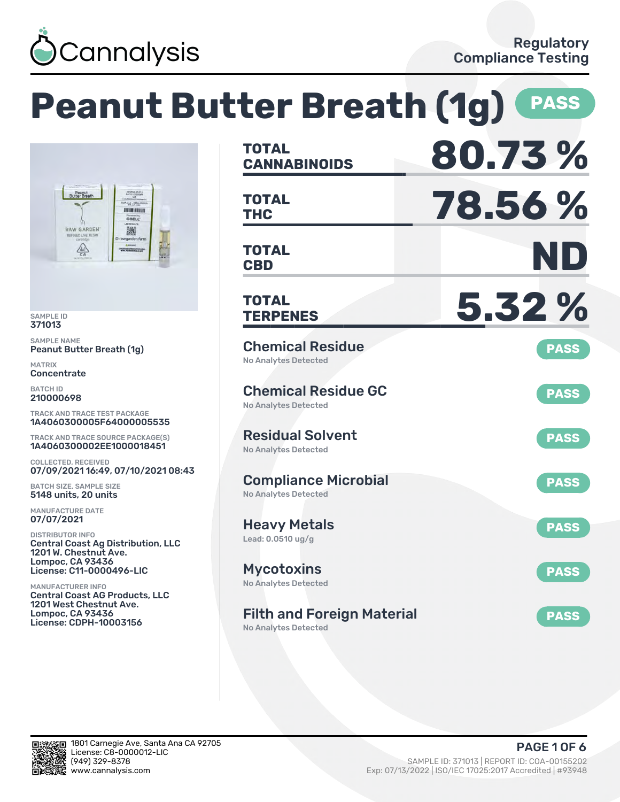

|                                                                                                                                                   | <b>Peanut Butter Breath (1g)</b>                                                                | <b>PASS</b> |
|---------------------------------------------------------------------------------------------------------------------------------------------------|-------------------------------------------------------------------------------------------------|-------------|
|                                                                                                                                                   | <b>TOTAL</b><br><b>CANNABINOIDS</b>                                                             | 80.73%      |
| Peanut<br>Butter Breath<br>LLC - CORN.<br>IN IN HER BIT<br><b>CCELL</b>                                                                           | <b>TOTAL</b><br><b>THC</b>                                                                      | 78.56%      |
| 臟<br><b>RAW GARDEN</b><br>REFINED LIVE RESIN<br>@ rawgarden.farm<br>$\frac{1}{2}$<br><b>CHARLES BERRICHE HAN</b>                                  | <b>TOTAL</b><br><b>CBD</b>                                                                      | ND          |
| <b>SAMPLE ID</b><br>371013                                                                                                                        | <b>TOTAL</b><br><b>TERPENES</b>                                                                 | 5.32 %      |
| <b>SAMPLE NAME</b><br>Peanut Butter Breath (1g)<br><b>MATRIX</b><br>Concentrate                                                                   | <b>Chemical Residue</b><br><b>No Analytes Detected</b>                                          | <b>PASS</b> |
| <b>BATCH ID</b><br>210000698<br><b>TRACK AND TRACE TEST PACKAGE</b>                                                                               | <b>Chemical Residue GC</b><br><b>No Analytes Detected</b>                                       | <b>PASS</b> |
| 1A4060300005F64000005535<br>TRACK AND TRACE SOURCE PACKAGE(S)<br>1A4060300002EE1000018451                                                         | <b>Residual Solvent</b><br><b>No Analytes Detected</b>                                          | <b>PASS</b> |
| <b>COLLECTED, RECEIVED</b><br>07/09/2021 16:49, 07/10/2021 08:43<br><b>BATCH SIZE, SAMPLE SIZE</b><br>5148 units, 20 units                        | <b>Compliance Microbial</b><br><b>No Analytes Detected</b>                                      | <b>PASS</b> |
| <b>MANUFACTURE DATE</b><br>07/07/2021<br><b>DISTRIBUTOR INFO</b>                                                                                  | <b>Heavy Metals</b><br>Lead: $0.0510$ ug/g                                                      | <b>PASS</b> |
| <b>Central Coast Ag Distribution, LLC</b><br>1201 W. Chestnut Ave.<br><b>Lompoc, CA 93436</b><br><b>License: C11-0000496-LIC</b>                  | <b>Mycotoxins</b>                                                                               | <b>PASS</b> |
| <b>MANUFACTURER INFO</b><br><b>Central Coast AG Products, LLC</b><br>1201 West Chestnut Ave.<br>Lompoc, CA 93436<br><b>License: CDPH-10003156</b> | <b>No Analytes Detected</b><br><b>Filth and Foreign Material</b><br><b>No Analytes Detected</b> | <b>PASS</b> |

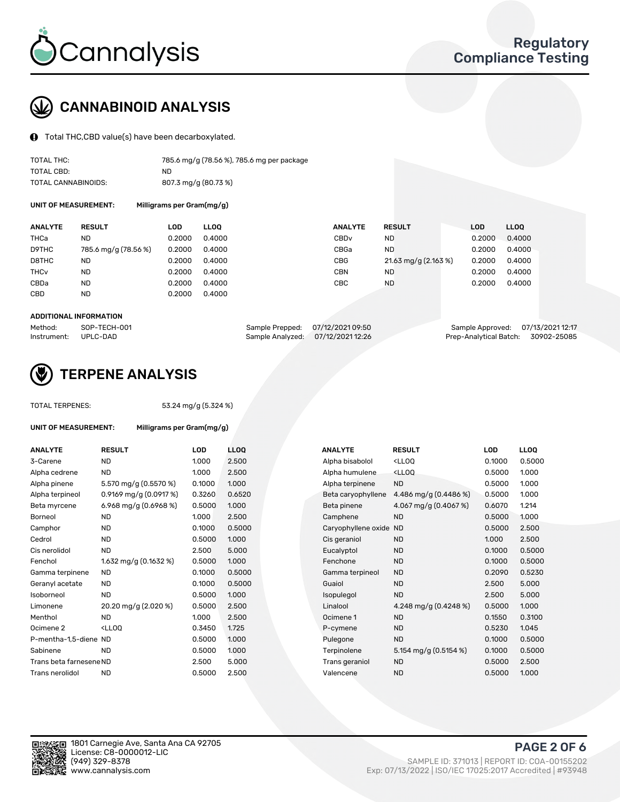

# CANNABINOID ANALYSIS

Total THC,CBD value(s) have been decarboxylated.

| TOTAL THC:          | 785.6 mg/g (78.56 %), 785.6 mg per package |
|---------------------|--------------------------------------------|
| TOTAL CBD:          | ND.                                        |
| TOTAL CANNABINOIDS: | 807.3 mg/g (80.73 %)                       |

UNIT OF MEASUREMENT: Milligrams per Gram(mg/g)

| <b>ANALYTE</b>         | <b>RESULT</b>        | LOD    | <b>LLOO</b> | <b>ANALYTE</b>   | <b>RESULT</b>        | LOD    | <b>LLOO</b> |
|------------------------|----------------------|--------|-------------|------------------|----------------------|--------|-------------|
| THCa                   | ND                   | 0.2000 | 0.4000      | CBD <sub>v</sub> | <b>ND</b>            | 0.2000 | 0.4000      |
| D9THC                  | 785.6 mg/g (78.56 %) | 0.2000 | 0.4000      | CBGa             | <b>ND</b>            | 0.2000 | 0.4000      |
| D8THC                  | ND                   | 0.2000 | 0.4000      | CBG              | 21.63 mg/g (2.163 %) | 0.2000 | 0.4000      |
| <b>THC<sub>v</sub></b> | <b>ND</b>            | 0.2000 | 0.4000      | <b>CBN</b>       | <b>ND</b>            | 0.2000 | 0.4000      |
| CBDa                   | <b>ND</b>            | 0.2000 | 0.4000      | CBC              | <b>ND</b>            | 0.2000 | 0.4000      |
| CBD                    | ND                   | 0.2000 | 0.4000      |                  |                      |        |             |
|                        |                      |        |             |                  |                      |        |             |

#### ADDITIONAL INFORMATION

| Method:              | SOP-TECH-001 | Sample Prepped: 07/12/2021 09:50  | Sample Approved: 07/13/2021 12:17  |  |
|----------------------|--------------|-----------------------------------|------------------------------------|--|
| Instrument: UPLC-DAD |              | Sample Analyzed: 07/12/2021 12:26 | Prep-Analytical Batch: 30902-25085 |  |



# TERPENE ANALYSIS

| <b>TOTAL TERPENES:</b>  |                                                   | 53.24 mg/g (5.324 %) |                  |  |  |
|-------------------------|---------------------------------------------------|----------------------|------------------|--|--|
| UNIT OF MEASUREMENT:    | Milligrams per Gram(mg/g)                         |                      |                  |  |  |
| <b>ANALYTE</b>          | <b>RESULT</b>                                     | LOD                  | <b>LLC</b>       |  |  |
| 3-Carene                | ND                                                | 1.000                | 2.5 <sub>0</sub> |  |  |
| Alpha cedrene           | ND.                                               | 1.000                | 2.5 <sub>0</sub> |  |  |
| Alpha pinene            | 5.570 mg/g (0.5570 %)                             | 0.1000               | 1.0(             |  |  |
| Alpha terpineol         | 0.9169 mg/g $(0.0917%)$                           | 0.3260               | 0.6              |  |  |
| Beta myrcene            | 6.968 mg/g (0.6968 %)                             | 0.5000               | 1.0(             |  |  |
| Borneol                 | ND                                                | 1.000                | 2.5 <sub>0</sub> |  |  |
| Camphor                 | ND                                                | 0.1000               | 0.5              |  |  |
| Cedrol                  | ND                                                | 0.5000               | 1.0(             |  |  |
| Cis nerolidol           | ND                                                | 2.500                | 5.0              |  |  |
| Fenchol                 | $1.632 \text{ mg/g} (0.1632 \text{ %})$           | 0.5000               | 1.0(             |  |  |
| Gamma terpinene         | <b>ND</b>                                         | 0.1000               | 0.5              |  |  |
| Geranyl acetate         | ND                                                | 0.1000               | 0.5              |  |  |
| Isoborneol              | ND                                                | 0.5000               | 1.0(             |  |  |
| Limonene                | 20.20 mg/g (2.020 %)                              | 0.5000               | 2.5 <sub>0</sub> |  |  |
| Menthol                 | ND                                                | 1.000                | 2.5 <sub>0</sub> |  |  |
| Ocimene <sub>2</sub>    | <lloo< td=""><td>0.3450</td><td>1.72</td></lloo<> | 0.3450               | 1.72             |  |  |
| P-mentha-1,5-diene ND   |                                                   | 0.5000               | 1.0(             |  |  |
| Sabinene                | ND                                                | 0.5000               | 1.0(             |  |  |
| Trans beta farnesene ND |                                                   | 2.500                | 5.0              |  |  |
| Trans nerolidol         | ND                                                | 0.5000               | 2.5 <sub>0</sub> |  |  |
|                         |                                                   |                      |                  |  |  |

| ANALYTE                 | <b>RESULT</b>                                                                                                      | LOD    | <b>LLOQ</b> | <b>ANALYTE</b>         | <b>RESULT</b>                                       | <b>LOD</b> | <b>LLOQ</b> |
|-------------------------|--------------------------------------------------------------------------------------------------------------------|--------|-------------|------------------------|-----------------------------------------------------|------------|-------------|
| 3-Carene                | <b>ND</b>                                                                                                          | 1.000  | 2.500       | Alpha bisabolol        | <ll0q< td=""><td>0.1000</td><td>0.5000</td></ll0q<> | 0.1000     | 0.5000      |
| Alpha cedrene           | <b>ND</b>                                                                                                          | 1.000  | 2.500       | Alpha humulene         | <lloq< td=""><td>0.5000</td><td>1.000</td></lloq<>  | 0.5000     | 1.000       |
| Alpha pinene            | 5.570 mg/g (0.5570 %)                                                                                              | 0.1000 | 1.000       | Alpha terpinene        | <b>ND</b>                                           | 0.5000     | 1.000       |
| Alpha terpineol         | 0.9169 mg/g $(0.0917%)$                                                                                            | 0.3260 | 0.6520      | Beta caryophyllene     | 4.486 mg/g $(0.4486\%)$                             | 0.5000     | 1.000       |
| Beta myrcene            | 6.968 mg/g (0.6968 %)                                                                                              | 0.5000 | 1.000       | Beta pinene            | 4.067 mg/g (0.4067 %)                               | 0.6070     | 1.214       |
| Borneol                 | <b>ND</b>                                                                                                          | 1.000  | 2.500       | Camphene               | <b>ND</b>                                           | 0.5000     | 1.000       |
| Camphor                 | ND                                                                                                                 | 0.1000 | 0.5000      | Caryophyllene oxide ND |                                                     | 0.5000     | 2.500       |
| Cedrol                  | <b>ND</b>                                                                                                          | 0.5000 | 1.000       | Cis geraniol           | <b>ND</b>                                           | 1.000      | 2.500       |
| Cis nerolidol           | <b>ND</b>                                                                                                          | 2.500  | 5.000       | Eucalyptol             | <b>ND</b>                                           | 0.1000     | 0.5000      |
| Fenchol                 | 1.632 mg/g $(0.1632 \%)$                                                                                           | 0.5000 | 1.000       | Fenchone               | <b>ND</b>                                           | 0.1000     | 0.5000      |
| Gamma terpinene         | <b>ND</b>                                                                                                          | 0.1000 | 0.5000      | Gamma terpineol        | <b>ND</b>                                           | 0.2090     | 0.5230      |
| Geranyl acetate         | ND.                                                                                                                | 0.1000 | 0.5000      | Guaiol                 | <b>ND</b>                                           | 2.500      | 5.000       |
| Isoborneol              | <b>ND</b>                                                                                                          | 0.5000 | 1.000       | Isopulegol             | <b>ND</b>                                           | 2.500      | 5.000       |
| Limonene                | 20.20 mg/g (2.020 %)                                                                                               | 0.5000 | 2.500       | Linalool               | 4.248 mg/g $(0.4248\%)$                             | 0.5000     | 1.000       |
| Menthol                 | ND.                                                                                                                | 1.000  | 2.500       | Ocimene 1              | <b>ND</b>                                           | 0.1550     | 0.3100      |
| Ocimene 2               | <lloq< td=""><td>0.3450</td><td>1.725</td><td>P-cymene</td><td><b>ND</b></td><td>0.5230</td><td>1.045</td></lloq<> | 0.3450 | 1.725       | P-cymene               | <b>ND</b>                                           | 0.5230     | 1.045       |
| P-mentha-1,5-diene ND   |                                                                                                                    | 0.5000 | 1.000       | Pulegone               | <b>ND</b>                                           | 0.1000     | 0.5000      |
| Sabinene                | <b>ND</b>                                                                                                          | 0.5000 | 1.000       | Terpinolene            | 5.154 mg/g $(0.5154\%)$                             | 0.1000     | 0.5000      |
| Trans beta farnesene ND |                                                                                                                    | 2.500  | 5.000       | Trans geraniol         | <b>ND</b>                                           | 0.5000     | 2.500       |
| Trans nerolidol         | <b>ND</b>                                                                                                          | 0.5000 | 2.500       | Valencene              | <b>ND</b>                                           | 0.5000     | 1.000       |

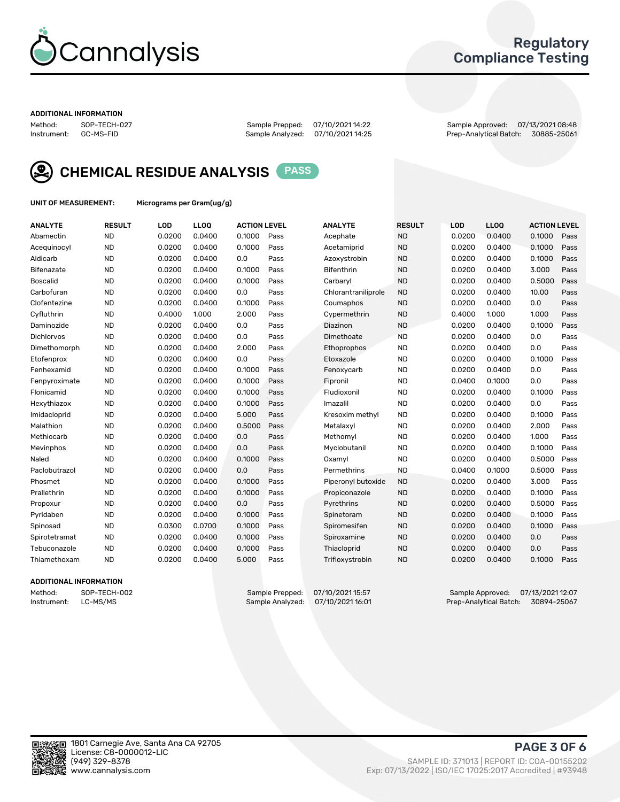

### Regulatory Compliance Testing

#### ADDITIONAL INFORMATION

Method: SOP-TECH-027 Sample Prepped: 07/10/2021 14:22 Sample Approved: 07/13/2021 08:48 Prep-Analytical Batch: 30885-25061



CHEMICAL RESIDUE ANALYSIS PASS

UNIT OF MEASUREMENT: Micrograms per Gram(ug/g)

| <b>ANALYTE</b>    | <b>RESULT</b> | LOD    | LLOQ   | <b>ACTION LEVEL</b> |      | <b>ANALYTE</b>      | <b>RESULT</b> | LOD    | <b>LLOQ</b> | <b>ACTION LEVEL</b> |      |
|-------------------|---------------|--------|--------|---------------------|------|---------------------|---------------|--------|-------------|---------------------|------|
| Abamectin         | <b>ND</b>     | 0.0200 | 0.0400 | 0.1000              | Pass | Acephate            | <b>ND</b>     | 0.0200 | 0.0400      | 0.1000              | Pass |
| Acequinocyl       | <b>ND</b>     | 0.0200 | 0.0400 | 0.1000              | Pass | Acetamiprid         | <b>ND</b>     | 0.0200 | 0.0400      | 0.1000              | Pass |
| Aldicarb          | <b>ND</b>     | 0.0200 | 0.0400 | 0.0                 | Pass | Azoxystrobin        | <b>ND</b>     | 0.0200 | 0.0400      | 0.1000              | Pass |
| Bifenazate        | <b>ND</b>     | 0.0200 | 0.0400 | 0.1000              | Pass | <b>Bifenthrin</b>   | <b>ND</b>     | 0.0200 | 0.0400      | 3.000               | Pass |
| <b>Boscalid</b>   | <b>ND</b>     | 0.0200 | 0.0400 | 0.1000              | Pass | Carbarvl            | <b>ND</b>     | 0.0200 | 0.0400      | 0.5000              | Pass |
| Carbofuran        | <b>ND</b>     | 0.0200 | 0.0400 | 0.0                 | Pass | Chlorantraniliprole | <b>ND</b>     | 0.0200 | 0.0400      | 10.00               | Pass |
| Clofentezine      | <b>ND</b>     | 0.0200 | 0.0400 | 0.1000              | Pass | Coumaphos           | <b>ND</b>     | 0.0200 | 0.0400      | 0.0                 | Pass |
| Cyfluthrin        | <b>ND</b>     | 0.4000 | 1.000  | 2.000               | Pass | Cypermethrin        | <b>ND</b>     | 0.4000 | 1.000       | 1.000               | Pass |
| Daminozide        | <b>ND</b>     | 0.0200 | 0.0400 | 0.0                 | Pass | Diazinon            | <b>ND</b>     | 0.0200 | 0.0400      | 0.1000              | Pass |
| <b>Dichlorvos</b> | <b>ND</b>     | 0.0200 | 0.0400 | 0.0                 | Pass | Dimethoate          | <b>ND</b>     | 0.0200 | 0.0400      | 0.0                 | Pass |
| Dimethomorph      | <b>ND</b>     | 0.0200 | 0.0400 | 2.000               | Pass | <b>Ethoprophos</b>  | <b>ND</b>     | 0.0200 | 0.0400      | 0.0                 | Pass |
| Etofenprox        | <b>ND</b>     | 0.0200 | 0.0400 | 0.0                 | Pass | Etoxazole           | <b>ND</b>     | 0.0200 | 0.0400      | 0.1000              | Pass |
| Fenhexamid        | <b>ND</b>     | 0.0200 | 0.0400 | 0.1000              | Pass | Fenoxycarb          | <b>ND</b>     | 0.0200 | 0.0400      | 0.0                 | Pass |
| Fenpyroximate     | <b>ND</b>     | 0.0200 | 0.0400 | 0.1000              | Pass | Fipronil            | <b>ND</b>     | 0.0400 | 0.1000      | 0.0                 | Pass |
| Flonicamid        | <b>ND</b>     | 0.0200 | 0.0400 | 0.1000              | Pass | Fludioxonil         | <b>ND</b>     | 0.0200 | 0.0400      | 0.1000              | Pass |
| Hexythiazox       | <b>ND</b>     | 0.0200 | 0.0400 | 0.1000              | Pass | Imazalil            | <b>ND</b>     | 0.0200 | 0.0400      | 0.0                 | Pass |
| Imidacloprid      | <b>ND</b>     | 0.0200 | 0.0400 | 5.000               | Pass | Kresoxim methyl     | <b>ND</b>     | 0.0200 | 0.0400      | 0.1000              | Pass |
| Malathion         | <b>ND</b>     | 0.0200 | 0.0400 | 0.5000              | Pass | Metalaxyl           | <b>ND</b>     | 0.0200 | 0.0400      | 2.000               | Pass |
| Methiocarb        | <b>ND</b>     | 0.0200 | 0.0400 | 0.0                 | Pass | Methomyl            | <b>ND</b>     | 0.0200 | 0.0400      | 1.000               | Pass |
| Mevinphos         | <b>ND</b>     | 0.0200 | 0.0400 | 0.0                 | Pass | Myclobutanil        | <b>ND</b>     | 0.0200 | 0.0400      | 0.1000              | Pass |
| Naled             | <b>ND</b>     | 0.0200 | 0.0400 | 0.1000              | Pass | Oxamyl              | <b>ND</b>     | 0.0200 | 0.0400      | 0.5000              | Pass |
| Paclobutrazol     | <b>ND</b>     | 0.0200 | 0.0400 | 0.0                 | Pass | Permethrins         | <b>ND</b>     | 0.0400 | 0.1000      | 0.5000              | Pass |
| Phosmet           | <b>ND</b>     | 0.0200 | 0.0400 | 0.1000              | Pass | Piperonyl butoxide  | <b>ND</b>     | 0.0200 | 0.0400      | 3.000               | Pass |
| Prallethrin       | <b>ND</b>     | 0.0200 | 0.0400 | 0.1000              | Pass | Propiconazole       | <b>ND</b>     | 0.0200 | 0.0400      | 0.1000              | Pass |
| Propoxur          | <b>ND</b>     | 0.0200 | 0.0400 | 0.0                 | Pass | Pyrethrins          | <b>ND</b>     | 0.0200 | 0.0400      | 0.5000              | Pass |
| Pyridaben         | <b>ND</b>     | 0.0200 | 0.0400 | 0.1000              | Pass | Spinetoram          | <b>ND</b>     | 0.0200 | 0.0400      | 0.1000              | Pass |
| Spinosad          | <b>ND</b>     | 0.0300 | 0.0700 | 0.1000              | Pass | Spiromesifen        | <b>ND</b>     | 0.0200 | 0.0400      | 0.1000              | Pass |
| Spirotetramat     | <b>ND</b>     | 0.0200 | 0.0400 | 0.1000              | Pass | Spiroxamine         | <b>ND</b>     | 0.0200 | 0.0400      | 0.0                 | Pass |
| Tebuconazole      | <b>ND</b>     | 0.0200 | 0.0400 | 0.1000              | Pass | Thiacloprid         | <b>ND</b>     | 0.0200 | 0.0400      | 0.0                 | Pass |
| Thiamethoxam      | <b>ND</b>     | 0.0200 | 0.0400 | 5.000               | Pass | Trifloxystrobin     | <b>ND</b>     | 0.0200 | 0.0400      | 0.1000              | Pass |

### ADDITIONAL INFORMATION

Method: SOP-TECH-002 Sample Prepped: 07/10/2021 15:57 Sample Approved: 07/13/2021 12:07 Prep-Analytical Batch: 30894-25067

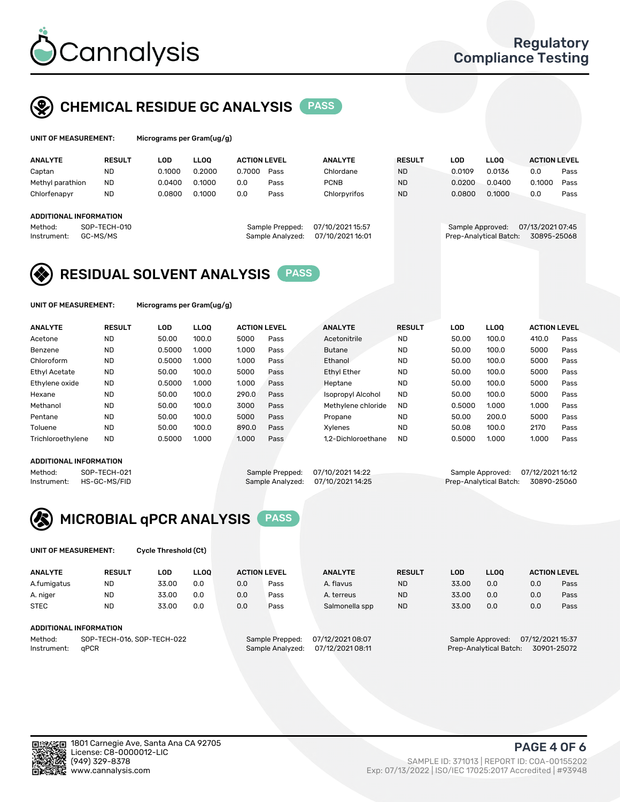

## CHEMICAL RESIDUE GC ANALYSIS PASS

| UNIT OF MEASUREMENT: | Micr |
|----------------------|------|
|----------------------|------|

rograms per Gram(ug/g)

| <b>ANALYTE</b>                | <b>RESULT</b> | LOD    | <b>LLOO</b> | <b>ACTION LEVEL</b> |                  | <b>ANALYTE</b>   | <b>RESULT</b> | LOD              | <b>LLOO</b>            | <b>ACTION LEVEL</b> |      |
|-------------------------------|---------------|--------|-------------|---------------------|------------------|------------------|---------------|------------------|------------------------|---------------------|------|
| Captan                        | <b>ND</b>     | 0.1000 | 0.2000      | 0.7000              | Pass             | Chlordane        | <b>ND</b>     | 0.0109           | 0.0136                 | 0.0                 | Pass |
| Methyl parathion              | <b>ND</b>     | 0.0400 | 0.1000      | 0.0                 | Pass             | <b>PCNB</b>      | <b>ND</b>     | 0.0200           | 0.0400                 | 0.1000              | Pass |
| Chlorfenapyr                  | <b>ND</b>     | 0.0800 | 0.1000      | 0.0                 | Pass             | Chlorpyrifos     | <b>ND</b>     | 0.0800           | 0.1000                 | 0.0                 | Pass |
|                               |               |        |             |                     |                  |                  |               |                  |                        |                     |      |
| <b>ADDITIONAL INFORMATION</b> |               |        |             |                     |                  |                  |               |                  |                        |                     |      |
| Method:                       | SOP-TECH-010  |        |             |                     | Sample Prepped:  | 07/10/2021 15:57 |               | Sample Approved: |                        | 07/13/2021 07:45    |      |
| Instrument:                   | GC-MS/MS      |        |             |                     | Sample Analyzed: | 07/10/2021 16:01 |               |                  | Prep-Analytical Batch: | 30895-25068         |      |

## RESIDUAL SOLVENT ANALYSIS PASS

UNIT OF MEASUREMENT: Micrograms per Gram(ug/g)

| <b>ANALYTE</b>       | <b>RESULT</b> | LOD    | <b>LLOO</b> | <b>ACTION LEVEL</b> |      | <b>ANALYTE</b>           | <b>RESULT</b> | LOD    | <b>LLOO</b> | <b>ACTION LEVEL</b> |      |
|----------------------|---------------|--------|-------------|---------------------|------|--------------------------|---------------|--------|-------------|---------------------|------|
| Acetone              | <b>ND</b>     | 50.00  | 100.0       | 5000                | Pass | Acetonitrile             | <b>ND</b>     | 50.00  | 100.0       | 410.0               | Pass |
| Benzene              | <b>ND</b>     | 0.5000 | 1.000       | 1.000               | Pass | <b>Butane</b>            | <b>ND</b>     | 50.00  | 100.0       | 5000                | Pass |
| Chloroform           | <b>ND</b>     | 0.5000 | 1.000       | 1.000               | Pass | Ethanol                  | <b>ND</b>     | 50.00  | 100.0       | 5000                | Pass |
| <b>Ethyl Acetate</b> | <b>ND</b>     | 50.00  | 100.0       | 5000                | Pass | <b>Ethyl Ether</b>       | <b>ND</b>     | 50.00  | 100.0       | 5000                | Pass |
| Ethylene oxide       | <b>ND</b>     | 0.5000 | 1.000       | 1.000               | Pass | Heptane                  | <b>ND</b>     | 50.00  | 100.0       | 5000                | Pass |
| Hexane               | <b>ND</b>     | 50.00  | 100.0       | 290.0               | Pass | <b>Isopropyl Alcohol</b> | <b>ND</b>     | 50.00  | 100.0       | 5000                | Pass |
| Methanol             | <b>ND</b>     | 50.00  | 100.0       | 3000                | Pass | Methylene chloride       | <b>ND</b>     | 0.5000 | 1.000       | 1.000               | Pass |
| Pentane              | <b>ND</b>     | 50.00  | 100.0       | 5000                | Pass | Propane                  | <b>ND</b>     | 50.00  | 200.0       | 5000                | Pass |
| Toluene              | <b>ND</b>     | 50.00  | 100.0       | 890.0               | Pass | Xvlenes                  | <b>ND</b>     | 50.08  | 100.0       | 2170                | Pass |
| Trichloroethylene    | <b>ND</b>     | 0.5000 | 1.000       | 1.000               | Pass | 1.2-Dichloroethane       | <b>ND</b>     | 0.5000 | 1.000       | 1.000               | Pass |

### ADDITIONAL INFORMATION

Method: SOP-TECH-021 Sample Prepped: 07/10/2021 14:22 Sample Approved: 07/12/2021 16:12<br>Instrument: HS-GC-MS/FID Sample Analyzed: 07/10/2021 14:25 Prep-Analytical Batch: 30890-25060

Prep-Analytical Batch: 30890-25060

# MICROBIAL qPCR ANALYSIS PASS

UNIT OF MEASUREMENT: Cycle Threshold (Ct)

| <b>ANALYTE</b>         | <b>RESULT</b> | LOD   | <b>LLOO</b> | <b>ACTION LEVEL</b> |      | <b>ANALYTE</b> | <b>RESULT</b> | LOD   | <b>LLOO</b> |     | <b>ACTION LEVEL</b> |
|------------------------|---------------|-------|-------------|---------------------|------|----------------|---------------|-------|-------------|-----|---------------------|
| A.fumigatus            | <b>ND</b>     | 33.00 | 0.0         | 0.0                 | Pass | A. flavus      | <b>ND</b>     | 33.00 | 0.0         | 0.0 | Pass                |
| A. niger               | <b>ND</b>     | 33.00 | 0.0         | 0.0                 | Pass | A. terreus     | <b>ND</b>     | 33.00 | 0.0         | 0.0 | Pass                |
| <b>STEC</b>            | <b>ND</b>     | 33.00 | 0.0         | 0.0                 | Pass | Salmonella spp | <b>ND</b>     | 33.00 | 0.0         | 0.0 | Pass                |
| ADDITIONAL INFORMATION |               |       |             |                     |      |                |               |       |             |     |                     |
|                        |               |       |             |                     |      | .              |               |       |             |     |                     |

Method: SOP-TECH-016, SOP-TECH-022 Sample Prepped: 07/12/2021 08:07 Sample Approved: 07/12/2021 15:37<br>Sample Analyzed: 07/12/2021 08:11 Prep-Analytical Batch: 30901-25072 Instrument: qPCR Sample Analyzed: 07/12/2021 08:11 Prep-Analytical Batch: 30901-25072

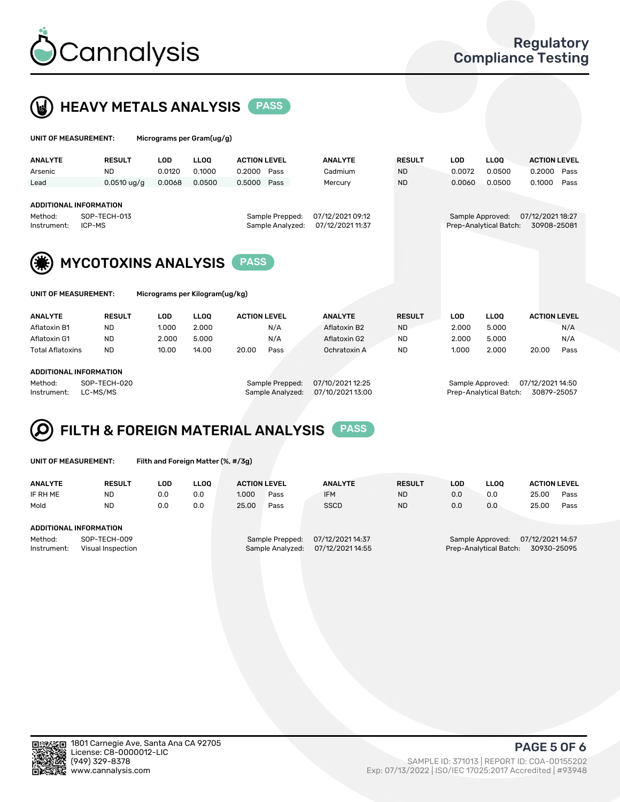



| UNIT OF MEASUREMENT:                                       |                                            |            | Micrograms per Gram(ug/g)      |                     |                                     |                                      |               |                  |                        |                                 |      |
|------------------------------------------------------------|--------------------------------------------|------------|--------------------------------|---------------------|-------------------------------------|--------------------------------------|---------------|------------------|------------------------|---------------------------------|------|
| <b>ANALYTE</b>                                             | <b>RESULT</b>                              | <b>LOD</b> | <b>LLOO</b>                    | <b>ACTION LEVEL</b> |                                     | <b>ANALYTE</b>                       | <b>RESULT</b> | <b>LOD</b>       | <b>LLOQ</b>            | <b>ACTION LEVEL</b>             |      |
| Arsenic                                                    | <b>ND</b>                                  | 0.0120     | 0.1000                         | 0.2000              | Pass                                | Cadmium                              | <b>ND</b>     | 0.0072           | 0.0500                 | 0.2000                          | Pass |
| Lead                                                       | $0.0510 \text{ uq/q}$                      | 0.0068     | 0.0500                         | 0.5000              | Pass                                | Mercury                              | <b>ND</b>     | 0.0060           | 0.0500                 | 0.1000                          | Pass |
| ADDITIONAL INFORMATION<br>Method:<br>ICP-MS<br>Instrument: | SOP-TECH-013<br><b>MYCOTOXINS ANALYSIS</b> |            |                                | <b>PASS</b>         | Sample Prepped:<br>Sample Analyzed: | 07/12/2021 09:12<br>07/12/2021 11:37 |               | Sample Approved: | Prep-Analytical Batch: | 07/12/2021 18:27<br>30908-25081 |      |
| <b>UNIT OF MEASUREMENT:</b>                                |                                            |            | Micrograms per Kilogram(ug/kg) |                     |                                     |                                      |               |                  |                        |                                 |      |
| <b>ANALYTE</b>                                             | <b>RESULT</b>                              | <b>LOD</b> | <b>LLOO</b>                    | <b>ACTION LEVEL</b> |                                     | <b>ANALYTE</b>                       | <b>RESULT</b> | <b>LOD</b>       | <b>LLOQ</b>            | <b>ACTION LEVEL</b>             |      |
| Aflatoxin B1                                               | <b>ND</b>                                  | 1.000      | 2.000                          |                     | N/A                                 | Aflatoxin B2                         | <b>ND</b>     | 2.000            | 5.000                  |                                 | N/A  |
| Aflatoxin G1                                               | <b>ND</b>                                  | 2.000      | 5.000                          |                     | N/A                                 | Aflatoxin G2                         | <b>ND</b>     | 2.000            | 5.000                  |                                 | N/A  |
| <b>Total Aflatoxins</b>                                    | <b>ND</b>                                  | 10.00      | 14.00                          | 20.00               | Pass                                | Ochratoxin A                         | <b>ND</b>     | 1.000            | 2.000                  | 20.00                           | Pass |

#### ADDITIONAL INFORMATION

Method: SOP-TECH-020 Sample Prepped: 07/10/2021 12:25 Sample Approved: 07/12/2021 14:50 Instrument: LC-MS/MS Sample Analyzed: 07/10/2021 13:00 Prep-Analytical Batch: 30879-25057

#### FILTH & FOREIGN MATERIAL ANALYSIS PASS Q

UNIT OF MEASUREMENT: Filth and Foreign Matter (%, #/3g)

| <b>ANALYTE</b>                                              | <b>RESULT</b> | LOD | <b>LLOO</b> | <b>ACTION LEVEL</b>                                                         |      | <b>ANALYTE</b> | <b>RESULT</b> | LOD                                                                           | <b>LLOO</b> | <b>ACTION LEVEL</b> |      |
|-------------------------------------------------------------|---------------|-----|-------------|-----------------------------------------------------------------------------|------|----------------|---------------|-------------------------------------------------------------------------------|-------------|---------------------|------|
| IF RH ME                                                    | <b>ND</b>     | 0.0 | 0.0         | 1.000                                                                       | Pass | <b>IFM</b>     | <b>ND</b>     | 0.0                                                                           | 0.0         | 25.00               | Pass |
| Mold                                                        | <b>ND</b>     | 0.0 | 0.0         | 25.00                                                                       | Pass | <b>SSCD</b>    | <b>ND</b>     | 0.0                                                                           | 0.0         | 25.00               | Pass |
| ADDITIONAL INFORMATION                                      |               |     |             |                                                                             |      |                |               |                                                                               |             |                     |      |
| Method:<br>SOP-TECH-009<br>Instrument:<br>Visual Inspection |               |     |             | 07/12/2021 14:37<br>Sample Prepped:<br>07/12/2021 14:55<br>Sample Analyzed: |      |                |               | 07/12/2021 14:57<br>Sample Approved:<br>Prep-Analytical Batch:<br>30930-25095 |             |                     |      |